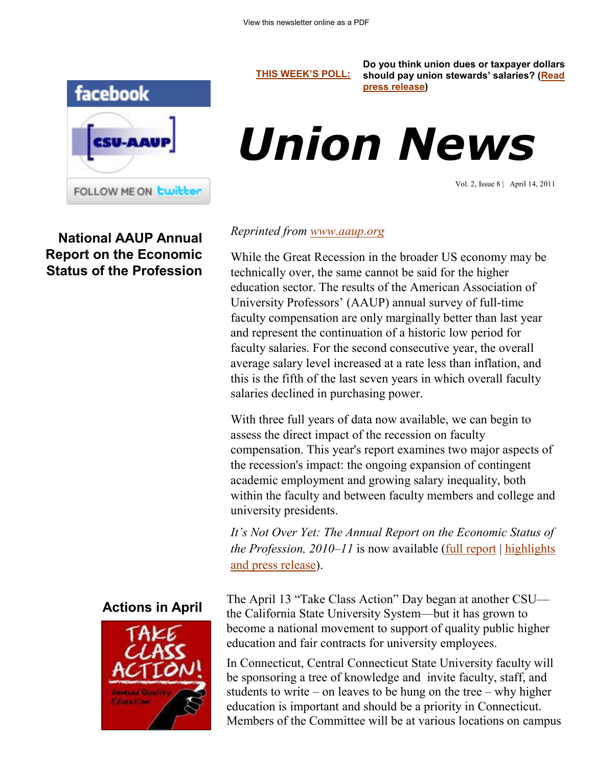

**National AAUP Annual Report on the Economic Status of the Profession** **[THIS WEEK'S POLL:](http://www.csuaaup.org/)**

**Do you think union dues or taxpayer dollars should pay union stewards' salaries? ([Read](http://ctsenaterepublicans.com/2011/04/republicans-say-union-dues-not-taxpayer-dollars-should-pay-stewards%E2%80%99-salaries/)  [press release\)](http://ctsenaterepublicans.com/2011/04/republicans-say-union-dues-not-taxpayer-dollars-should-pay-stewards%E2%80%99-salaries/)**

# *Union News*

Vol. 2, Issue 8 | April 14, 2011

#### *Reprinted from [www.aaup.org](http://www.aaup.org)*

While the Great Recession in the broader US economy may be technically over, the same cannot be said for the higher education sector. The results of the American Association of University Professors' (AAUP) annual survey of full-time faculty compensation are only marginally better than last year and represent the continuation of a historic low period for faculty salaries. For the second consecutive year, the overall average salary level increased at a rate less than inflation, and this is the fifth of the last seven years in which overall faculty salaries declined in purchasing power.

With three full years of data now available, we can begin to assess the direct impact of the recession on faculty compensation. This year's report examines two major aspects of the recession's impact: the ongoing expansion of contingent academic employment and growing salary inequality, both within the faculty and between faculty members and college and university presidents.

*It's Not Over Yet: The Annual Report on the Economic Status of the Profession, 2010–11* is now available [\(full report](http://www.aaup.org/AAUP/comm/rep/Z/ecstatreport10-11/) | [highlights](http://www.aaup.org/AAUP/newsroom/2011PRs/salsurvey.htm) and press release).

The April 13 "Take Class Action" Day began at another CSU the California State University System—but it has grown to become a national movement to support of quality public higher education and fair contracts for university employees.

In Connecticut, Central Connecticut State University faculty will be sponsoring a tree of knowledge and invite faculty, staff, and students to write – on leaves to be hung on the tree – why higher education is important and should be a priority in Connecticut. Members of the Committee will be at various locations on campus

## **Actions in April**